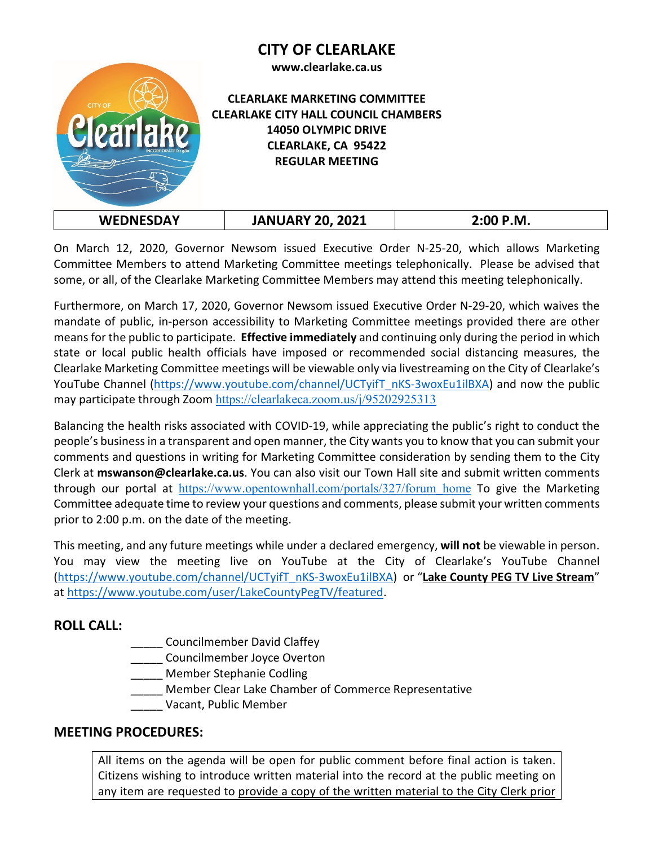# **CITY OF CLEARLAKE**





#### **CLEARLAKE MARKETING COMMITTEE CLEARLAKE CITY HALL COUNCIL CHAMBERS 14050 OLYMPIC DRIVE CLEARLAKE, CA 95422 REGULAR MEETING**

|--|

On March 12, 2020, Governor Newsom issued Executive Order N-25-20, which allows Marketing Committee Members to attend Marketing Committee meetings telephonically. Please be advised that some, or all, of the Clearlake Marketing Committee Members may attend this meeting telephonically.

Furthermore, on March 17, 2020, Governor Newsom issued Executive Order N-29-20, which waives the mandate of public, in-person accessibility to Marketing Committee meetings provided there are other means for the public to participate. **Effective immediately** and continuing only during the period in which state or local public health officials have imposed or recommended social distancing measures, the Clearlake Marketing Committee meetings will be viewable only via livestreaming on the City of Clearlake's YouTube Channel [\(https://www.youtube.com/channel/UCTyifT\\_nKS-3woxEu1ilBXA\)](https://www.youtube.com/channel/UCTyifT_nKS-3woxEu1ilBXA) and now the public may participate through Zoom <https://clearlakeca.zoom.us/j/95202925313>

Balancing the health risks associated with COVID-19, while appreciating the public's right to conduct the people's business in a transparent and open manner, the City wants you to know that you can submit your comments and questions in writing for Marketing Committee consideration by sending them to the City Clerk at **mswanson@clearlake.ca.us**. You can also visit our Town Hall site and submit written comments through our portal at [https://www.opentownhall.com/portals/327/forum\\_home](https://www.opentownhall.com/portals/327/forum_home) To give the Marketing Committee adequate time to review your questions and comments, please submit your written comments prior to 2:00 p.m. on the date of the meeting.

This meeting, and any future meetings while under a declared emergency, **will not** be viewable in person. You may view the meeting live on YouTube at the City of Clearlake's YouTube Channel [\(https://www.youtube.com/channel/UCTyifT\\_nKS-3woxEu1ilBXA\)](https://www.youtube.com/channel/UCTyifT_nKS-3woxEu1ilBXA) or "**Lake County PEG TV Live Stream**" at [https://www.youtube.com/user/LakeCountyPegTV/featured.](https://www.youtube.com/user/LakeCountyPegTV/featured)

# **ROLL CALL:**

- \_\_\_\_\_ Councilmember David Claffey
- \_\_\_\_\_ Councilmember Joyce Overton
- \_\_\_\_\_ Member Stephanie Codling
- \_\_\_\_\_ Member Clear Lake Chamber of Commerce Representative
	- \_\_\_\_\_ Vacant, Public Member

# **MEETING PROCEDURES:**

All items on the agenda will be open for public comment before final action is taken. Citizens wishing to introduce written material into the record at the public meeting on any item are requested to provide a copy of the written material to the City Clerk prior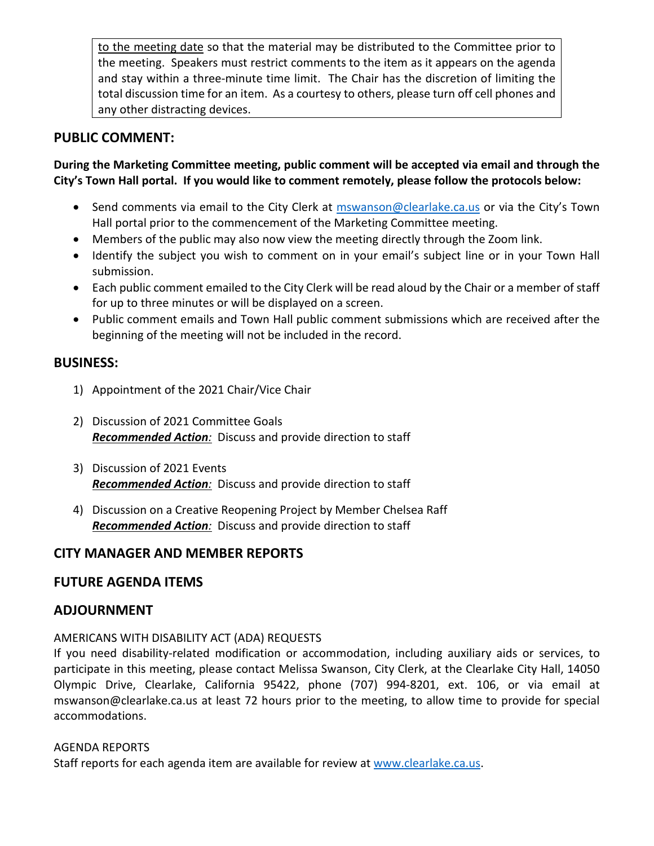to the meeting date so that the material may be distributed to the Committee prior to the meeting. Speakers must restrict comments to the item as it appears on the agenda and stay within a three-minute time limit. The Chair has the discretion of limiting the total discussion time for an item. As a courtesy to others, please turn off cell phones and any other distracting devices.

# **PUBLIC COMMENT:**

### **During the Marketing Committee meeting, public comment will be accepted via email and through the City's Town Hall portal. If you would like to comment remotely, please follow the protocols below:**

- Send comments via email to the City Clerk at [mswanson@clearlake.ca.us](mailto:mswanson@clearlake.ca.us) or via the City's Town Hall portal prior to the commencement of the Marketing Committee meeting.
- Members of the public may also now view the meeting directly through the Zoom link.
- Identify the subject you wish to comment on in your email's subject line or in your Town Hall submission.
- Each public comment emailed to the City Clerk will be read aloud by the Chair or a member of staff for up to three minutes or will be displayed on a screen.
- Public comment emails and Town Hall public comment submissions which are received after the beginning of the meeting will not be included in the record.

### **BUSINESS:**

- 1) Appointment of the 2021 Chair/Vice Chair
- 2) Discussion of 2021 Committee Goals *Recommended Action:* Discuss and provide direction to staff
- 3) Discussion of 2021 Events *Recommended Action:* Discuss and provide direction to staff
- 4) Discussion on a Creative Reopening Project by Member Chelsea Raff *Recommended Action:* Discuss and provide direction to staff

# **CITY MANAGER AND MEMBER REPORTS**

# **FUTURE AGENDA ITEMS**

# **ADJOURNMENT**

#### AMERICANS WITH DISABILITY ACT (ADA) REQUESTS

If you need disability-related modification or accommodation, including auxiliary aids or services, to participate in this meeting, please contact Melissa Swanson, City Clerk, at the Clearlake City Hall, 14050 Olympic Drive, Clearlake, California 95422, phone (707) 994-8201, ext. 106, or via email at mswanson@clearlake.ca.us at least 72 hours prior to the meeting, to allow time to provide for special accommodations.

#### AGENDA REPORTS

Staff reports for each agenda item are available for review at [www.clearlake.ca.us.](http://www.clearlake.ca.us/)